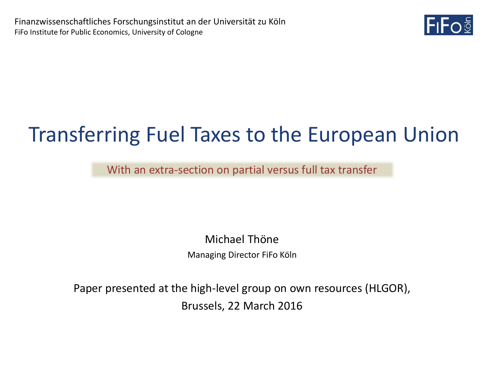

# Transferring Fuel Taxes to the European Union

With an extra-section on partial versus full tax transfer

Michael Thöne Managing Director FiFo Köln

Paper presented at the high-level group on own resources (HLGOR), Brussels, 22 March 2016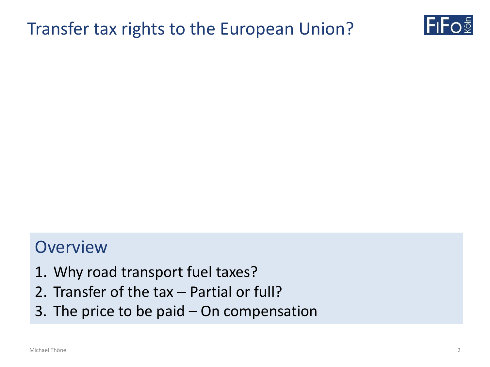### Transfer tax rights to the European Union?



### **Overview**

- 1. Why road transport fuel taxes?
- 2. Transfer of the tax Partial or full?
- 3. The price to be paid On compensation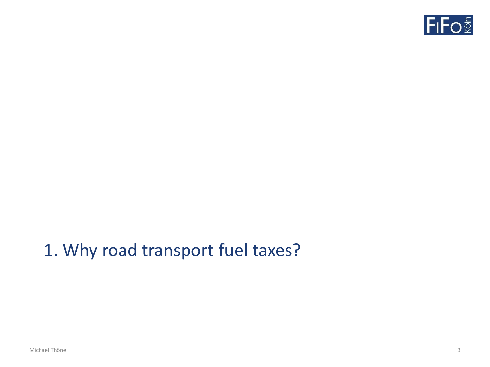

### 1. Why road transport fuel taxes?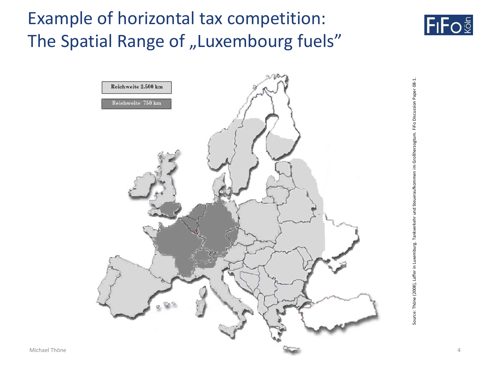## Example of horizontal tax competition: The Spatial Range of "Luxembourg fuels"



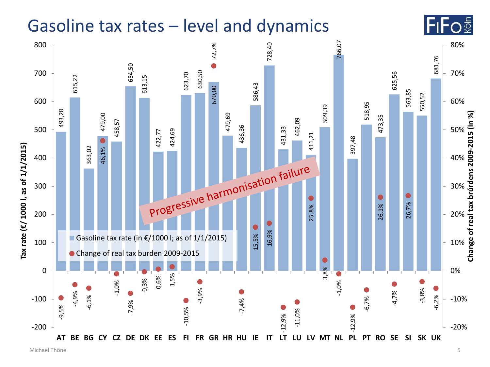### Gasoline tax rates – level and dynamics



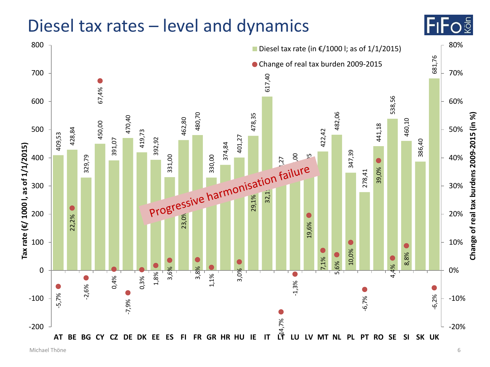### Diesel tax rates – level and dynamics



lFıFo§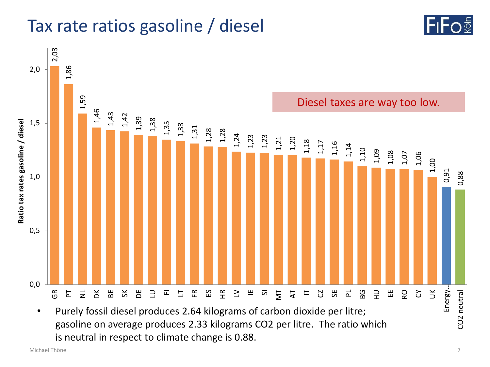### Tax rate ratios gasoline / diesel





<sup>•</sup> Purely fossil diesel produces 2.64 kilograms of carbon dioxide per litre; gasoline on average produces 2.33 kilograms CO2 per litre. The ratio which is neutral in respect to climate change is 0.88.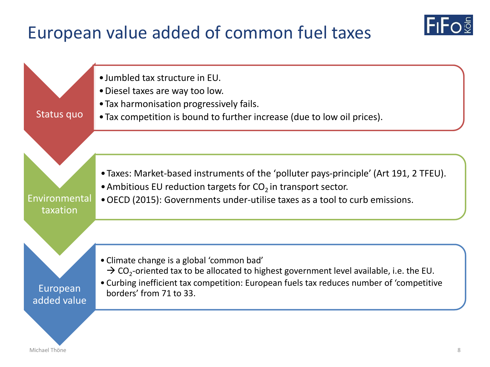### European value added of common fuel taxes

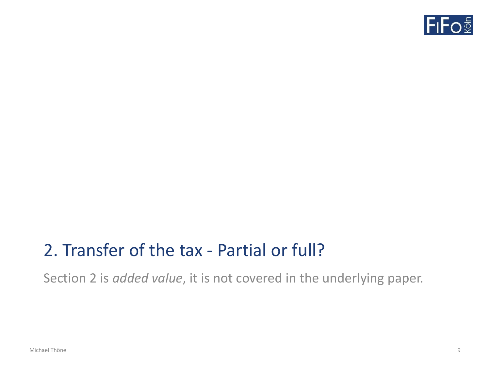

### 2. Transfer of the tax - Partial or full?

Section 2 is *added value*, it is not covered in the underlying paper.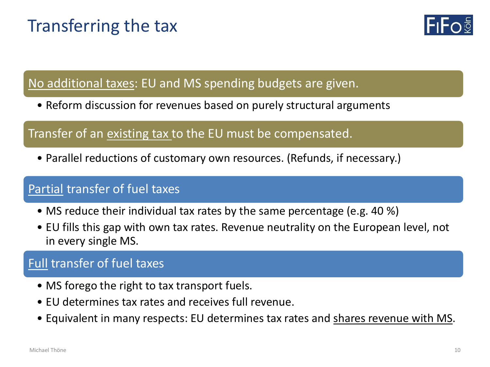### Transferring the tax



No additional taxes: EU and MS spending budgets are given.

• Reform discussion for revenues based on purely structural arguments

#### Transfer of an existing tax to the EU must be compensated.

• Parallel reductions of customary own resources. (Refunds, if necessary.)

### Partial transfer of fuel taxes

- MS reduce their individual tax rates by the same percentage (e.g. 40 %)
- EU fills this gap with own tax rates. Revenue neutrality on the European level, not in every single MS.

#### **Full transfer of fuel taxes**

- MS forego the right to tax transport fuels.
- EU determines tax rates and receives full revenue.
- Equivalent in many respects: EU determines tax rates and shares revenue with MS.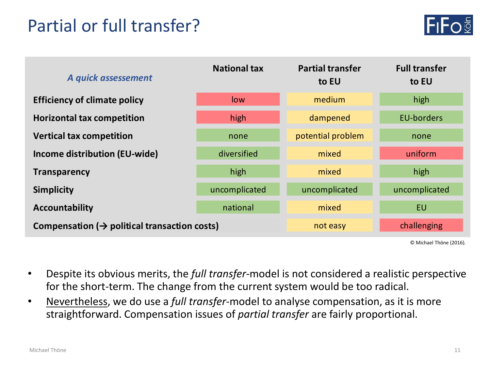### Partial or full transfer?



| A quick assessement                                      | <b>National tax</b> | <b>Partial transfer</b><br>to EU | <b>Full transfer</b><br>to EU |
|----------------------------------------------------------|---------------------|----------------------------------|-------------------------------|
| <b>Efficiency of climate policy</b>                      | low                 | medium                           | high                          |
| <b>Horizontal tax competition</b>                        | high                | dampened                         | <b>EU-borders</b>             |
| <b>Vertical tax competition</b>                          | none                | potential problem                | none                          |
| Income distribution (EU-wide)                            | diversified         | mixed                            | uniform                       |
| <b>Transparency</b>                                      | high                | mixed                            | high                          |
| <b>Simplicity</b>                                        | uncomplicated       | uncomplicated                    | uncomplicated                 |
| Accountability                                           | national            | mixed                            | <b>EU</b>                     |
| Compensation $(\rightarrow$ political transaction costs) |                     | not easy                         | challenging                   |
|                                                          |                     |                                  |                               |

© Michael Thöne (2016).

- Despite its obvious merits, the *full transfer*-model is not considered a realistic perspective for the short-term. The change from the current system would be too radical.
- Nevertheless, we do use a *full transfer*-model to analyse compensation, as it is more straightforward. Compensation issues of *partial transfer* are fairly proportional.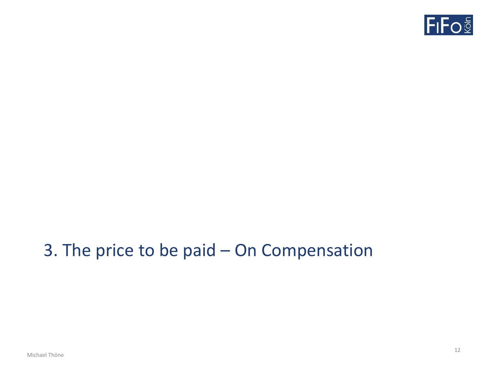

### 3. The price to be paid – On Compensation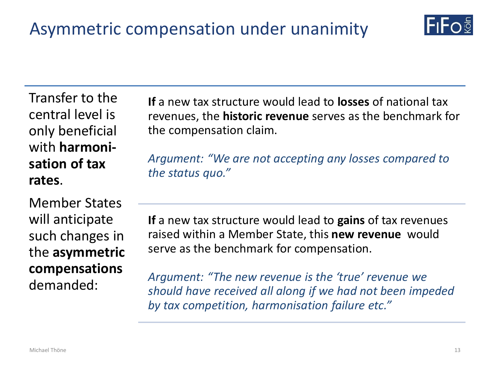

Transfer to the central level is only beneficial with **harmonisation of tax rates**.

Member States will anticipate such changes in the **asymmetric compensations**  demanded:

**If** a new tax structure would lead to **losses** of national tax revenues, the **historic revenue** serves as the benchmark for the compensation claim.

*Argument: "We are not accepting any losses compared to the status quo."*

**If** a new tax structure would lead to **gains** of tax revenues raised within a Member State, this **new revenue** would serve as the benchmark for compensation.

*Argument: "The new revenue is the 'true' revenue we should have received all along if we had not been impeded by tax competition, harmonisation failure etc."*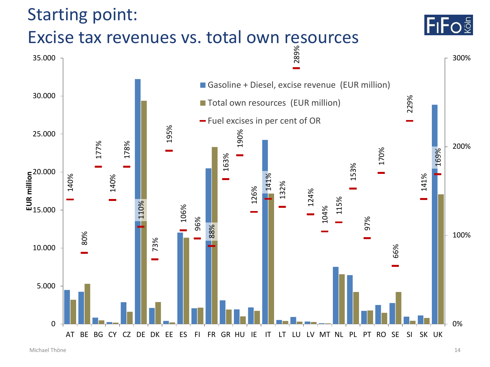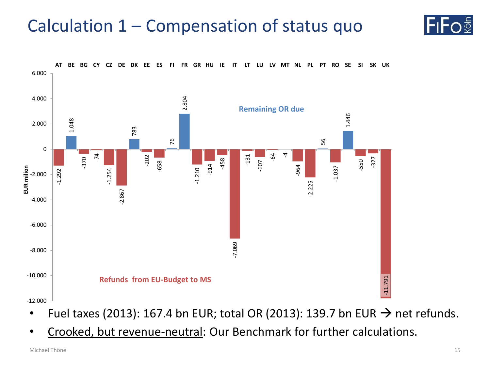### Calculation 1 – Compensation of status quo



- Fuel taxes (2013): 167.4 bn EUR; total OR (2013): 139.7 bn EUR  $\rightarrow$  net refunds.
- Crooked, but revenue-neutral: Our Benchmark for further calculations.

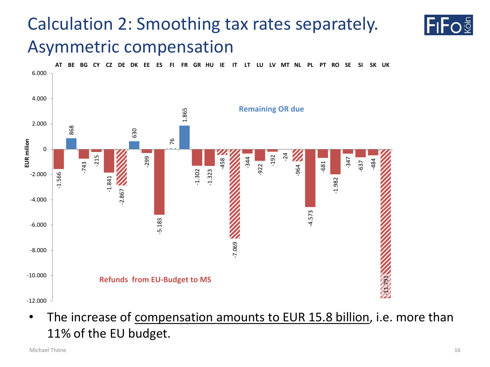## Calculation 2: Smoothing tax rates separately. Asymmetric compensation



• The increase of compensation amounts to EUR 15.8 billion, i.e. more than 11% of the EU budget.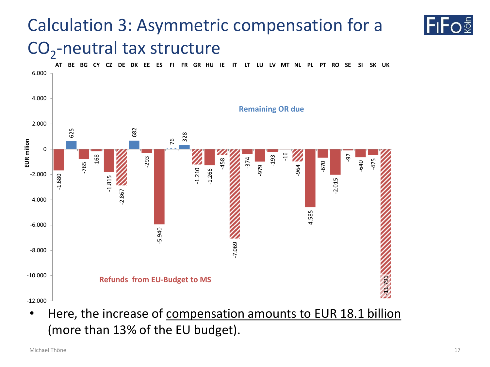## Calculation 3: Asymmetric compensation for a CO<sub>2</sub>-neutral tax structure



• Here, the increase of compensation amounts to EUR 18.1 billion (more than 13% of the EU budget).

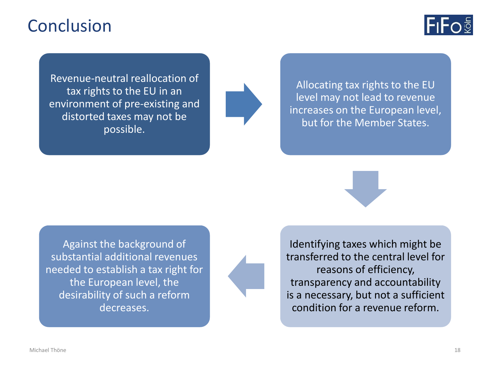### Conclusion



Revenue-neutral reallocation of tax rights to the EU in an environment of pre-existing and distorted taxes may not be possible.



Allocating tax rights to the EU level may not lead to revenue increases on the European level, but for the Member States.



Against the background of substantial additional revenues needed to establish a tax right for the European level, the desirability of such a reform decreases.

Identifying taxes which might be transferred to the central level for reasons of efficiency, transparency and accountability is a necessary, but not a sufficient condition for a revenue reform.